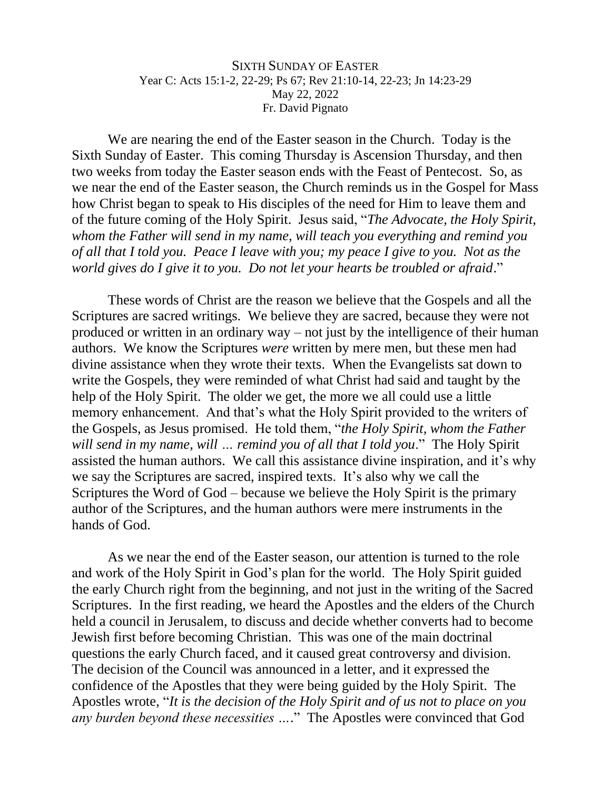## SIXTH SUNDAY OF EASTER Year C: Acts 15:1-2, 22-29; Ps 67; Rev 21:10-14, 22-23; Jn 14:23-29 May 22, 2022 Fr. David Pignato

We are nearing the end of the Easter season in the Church. Today is the Sixth Sunday of Easter. This coming Thursday is Ascension Thursday, and then two weeks from today the Easter season ends with the Feast of Pentecost. So, as we near the end of the Easter season, the Church reminds us in the Gospel for Mass how Christ began to speak to His disciples of the need for Him to leave them and of the future coming of the Holy Spirit. Jesus said, "*The Advocate, the Holy Spirit, whom the Father will send in my name, will teach you everything and remind you of all that I told you. Peace I leave with you; my peace I give to you. Not as the world gives do I give it to you. Do not let your hearts be troubled or afraid*."

These words of Christ are the reason we believe that the Gospels and all the Scriptures are sacred writings. We believe they are sacred, because they were not produced or written in an ordinary way – not just by the intelligence of their human authors. We know the Scriptures *were* written by mere men, but these men had divine assistance when they wrote their texts. When the Evangelists sat down to write the Gospels, they were reminded of what Christ had said and taught by the help of the Holy Spirit. The older we get, the more we all could use a little memory enhancement. And that's what the Holy Spirit provided to the writers of the Gospels, as Jesus promised. He told them, "*the Holy Spirit, whom the Father will send in my name, will … remind you of all that I told you*." The Holy Spirit assisted the human authors. We call this assistance divine inspiration, and it's why we say the Scriptures are sacred, inspired texts. It's also why we call the Scriptures the Word of God – because we believe the Holy Spirit is the primary author of the Scriptures, and the human authors were mere instruments in the hands of God.

As we near the end of the Easter season, our attention is turned to the role and work of the Holy Spirit in God's plan for the world. The Holy Spirit guided the early Church right from the beginning, and not just in the writing of the Sacred Scriptures. In the first reading, we heard the Apostles and the elders of the Church held a council in Jerusalem, to discuss and decide whether converts had to become Jewish first before becoming Christian. This was one of the main doctrinal questions the early Church faced, and it caused great controversy and division. The decision of the Council was announced in a letter, and it expressed the confidence of the Apostles that they were being guided by the Holy Spirit. The Apostles wrote, "*It is the decision of the Holy Spirit and of us not to place on you any burden beyond these necessities …*." The Apostles were convinced that God